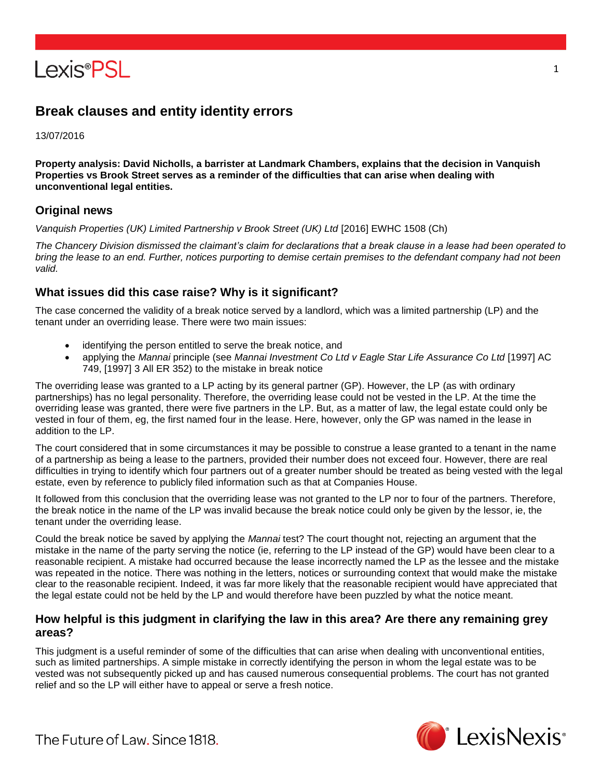

# **Break clauses and entity identity errors**

13/07/2016

**Property analysis: David Nicholls, a barrister at Landmark Chambers, explains that the decision in Vanquish Properties vs Brook Street serves as a reminder of the difficulties that can arise when dealing with unconventional legal entities.**

### **Original news**

*Vanquish Properties (UK) Limited Partnership v Brook Street (UK) Ltd* [2016] EWHC 1508 (Ch)

*The Chancery Division dismissed the claimant's claim for declarations that a break clause in a lease had been operated to bring the lease to an end. Further, notices purporting to demise certain premises to the defendant company had not been valid.*

## **What issues did this case raise? Why is it significant?**

The case concerned the validity of a break notice served by a landlord, which was a limited partnership (LP) and the tenant under an overriding lease. There were two main issues:

- identifying the person entitled to serve the break notice, and
- applying the *Mannai* principle (see *Mannai Investment Co Ltd v Eagle Star Life Assurance Co Ltd* [1997] AC 749, [1997] 3 All ER 352) to the mistake in break notice

The overriding lease was granted to a LP acting by its general partner (GP). However, the LP (as with ordinary partnerships) has no legal personality. Therefore, the overriding lease could not be vested in the LP. At the time the overriding lease was granted, there were five partners in the LP. But, as a matter of law, the legal estate could only be vested in four of them, eg, the first named four in the lease. Here, however, only the GP was named in the lease in addition to the LP.

The court considered that in some circumstances it may be possible to construe a lease granted to a tenant in the name of a partnership as being a lease to the partners, provided their number does not exceed four. However, there are real difficulties in trying to identify which four partners out of a greater number should be treated as being vested with the legal estate, even by reference to publicly filed information such as that at Companies House.

It followed from this conclusion that the overriding lease was not granted to the LP nor to four of the partners. Therefore, the break notice in the name of the LP was invalid because the break notice could only be given by the lessor, ie, the tenant under the overriding lease.

Could the break notice be saved by applying the *Mannai* test? The court thought not, rejecting an argument that the mistake in the name of the party serving the notice (ie, referring to the LP instead of the GP) would have been clear to a reasonable recipient. A mistake had occurred because the lease incorrectly named the LP as the lessee and the mistake was repeated in the notice. There was nothing in the letters, notices or surrounding context that would make the mistake clear to the reasonable recipient. Indeed, it was far more likely that the reasonable recipient would have appreciated that the legal estate could not be held by the LP and would therefore have been puzzled by what the notice meant.

## **How helpful is this judgment in clarifying the law in this area? Are there any remaining grey areas?**

This judgment is a useful reminder of some of the difficulties that can arise when dealing with unconventional entities, such as limited partnerships. A simple mistake in correctly identifying the person in whom the legal estate was to be vested was not subsequently picked up and has caused numerous consequential problems. The court has not granted relief and so the LP will either have to appeal or serve a fresh notice.



The Future of Law, Since 1818.